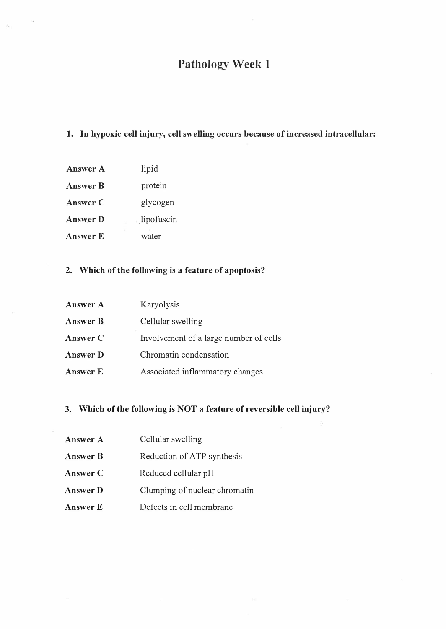## Pathology Week 1

#### 1. In hypoxic cell injury, cell swelling occurs because of increased intracellular:

- Answer A lipid
- Answer B protein
- Answer C glycogen
- Answer D . lipofuscin
- Answer E water

### 2. Which of the following is a feature of apoptosis?

| Answer A        | Karyolysis                             |
|-----------------|----------------------------------------|
| <b>Answer B</b> | Cellular swelling                      |
| Answer C        | Involvement of a large number of cells |
| <b>Answer D</b> | Chromatin condensation                 |
| <b>Answer E</b> | Associated inflammatory changes        |

#### 3. Which of the following is NOT a feature of reversible cell injury?

- Answer A Cellular swelling
- **Answer B** Reduction of ATP synthesis
- Answer C Reduced cellular pH
- Answer D Clumping of nuclear chromatin
- Answer E Defects in cell membrane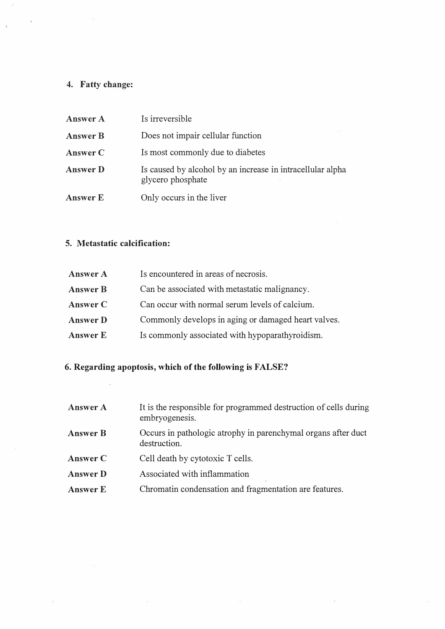# 4. Fatty change:

 $\zeta$ 

| Answer A        | Is irreversible                                                                 |
|-----------------|---------------------------------------------------------------------------------|
| <b>Answer B</b> | Does not impair cellular function                                               |
| Answer C        | Is most commonly due to diabetes                                                |
| <b>Answer D</b> | Is caused by alcohol by an increase in intracellular alpha<br>glycero phosphate |
| <b>Answer E</b> | Only occurs in the liver                                                        |

### 5. Metastatic calcification:

 $\widehat{\mathbb{R}}$ 

| <b>Answer A</b> | Is encountered in areas of necrosis.                |
|-----------------|-----------------------------------------------------|
| <b>Answer B</b> | Can be associated with metastatic malignancy.       |
| Answer C        | Can occur with normal serum levels of calcium.      |
| <b>Answer D</b> | Commonly develops in aging or damaged heart valves. |
| <b>Answer E</b> | Is commonly associated with hypoparathyroidism.     |
|                 |                                                     |

in 19

### 6. Regarding apoptosis, which of the following is FALSE?

 $\overline{\kappa}$ 

| <b>Answer A</b> | It is the responsible for programmed destruction of cells during<br>embryogenesis. |
|-----------------|------------------------------------------------------------------------------------|
| <b>Answer B</b> | Occurs in pathologic atrophy in parenchymal organs after duct<br>destruction.      |
| Answer C        | Cell death by cytotoxic T cells.                                                   |
| <b>Answer D</b> | Associated with inflammation                                                       |
| Answer E        | Chromatin condensation and fragmentation are features.                             |
|                 |                                                                                    |

 $\mathcal{G}_k$  .

 $\ddot{\phantom{0}}$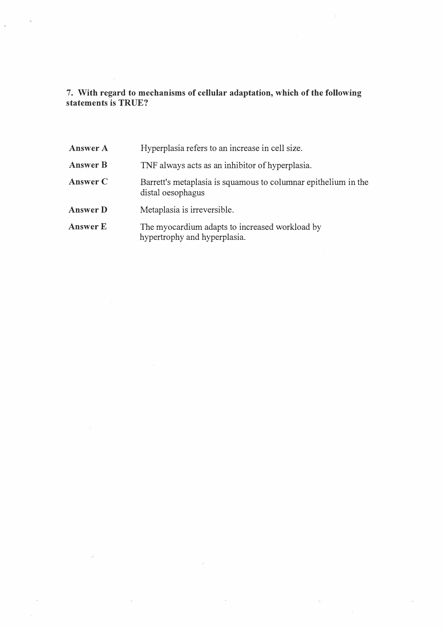7. With regard to mechanisms of cellular adaptation, which of the following statements is TRUE?

i,

| Answer A        | Hyperplasia refers to an increase in cell size.                                     |
|-----------------|-------------------------------------------------------------------------------------|
| <b>Answer B</b> | TNF always acts as an inhibitor of hyperplasia.                                     |
| Answer C        | Barrett's metaplasia is squamous to columnar epithelium in the<br>distal oesophagus |
| <b>Answer D</b> | Metaplasia is irreversible.                                                         |
| <b>Answer E</b> | The myocardium adapts to increased workload by<br>hypertrophy and hyperplasia.      |

 $\bar{\mathcal{A}}$ 

 $\bar{\alpha}$ 

 $\tilde{\gamma}$